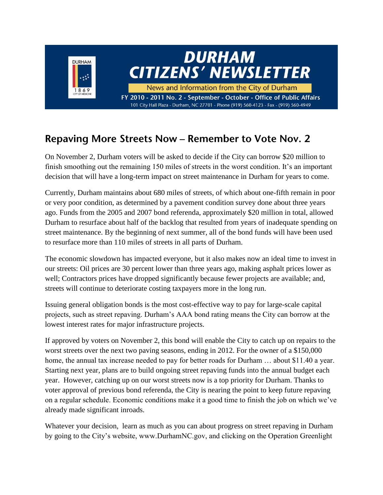

#### Repaving More Streets Now - Remember to Vote Nov. 2

On November 2, Durham voters will be asked to decide if the City can borrow \$20 million to finish smoothing out the remaining 150 miles of streets in the worst condition. It's an important decision that will have a long-term impact on street maintenance in Durham for years to come.

Currently, Durham maintains about 680 miles of streets, of which about one-fifth remain in poor or very poor condition, as determined by a pavement condition survey done about three years ago. Funds from the 2005 and 2007 bond referenda, approximately \$20 million in total, allowed Durham to resurface about half of the backlog that resulted from years of inadequate spending on street maintenance. By the beginning of next summer, all of the bond funds will have been used to resurface more than 110 miles of streets in all parts of Durham.

The economic slowdown has impacted everyone, but it also makes now an ideal time to invest in our streets: Oil prices are 30 percent lower than three years ago, making asphalt prices lower as well; Contractors prices have dropped significantly because fewer projects are available; and, streets will continue to deteriorate costing taxpayers more in the long run.

Issuing general obligation bonds is the most cost-effective way to pay for large-scale capital projects, such as street repaving. Durham's AAA bond rating means the City can borrow at the lowest interest rates for major infrastructure projects.

If approved by voters on November 2, this bond will enable the City to catch up on repairs to the worst streets over the next two paving seasons, ending in 2012. For the owner of a \$150,000 home, the annual tax increase needed to pay for better roads for Durham ... about \$11.40 a year. Starting next year, plans are to build ongoing street repaving funds into the annual budget each year. However, catching up on our worst streets now is a top priority for Durham. Thanks to voter approval of previous bond referenda, the City is nearing the point to keep future repaving on a regular schedule. Economic conditions make it a good time to finish the job on which we've already made significant inroads.

Whatever your decision, learn as much as you can about progress on street repaving in Durham by going to the City's website, www.DurhamNC.gov, and clicking on the Operation Greenlight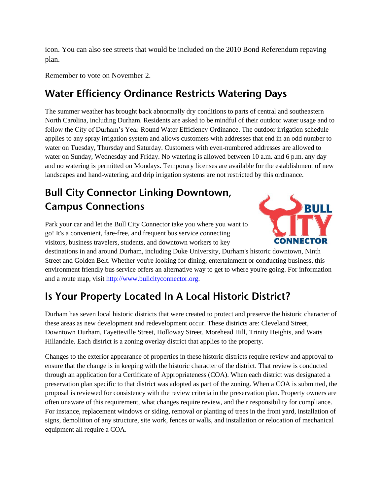icon. You can also see streets that would be included on the 2010 Bond Referendum repaving plan.

Remember to vote on November 2.

#### **Water Efficiency Ordinance Restricts Watering Days**

The summer weather has brought back abnormally dry conditions to parts of central and southeastern North Carolina, including Durham. Residents are asked to be mindful of their outdoor water usage and to follow the City of Durham's Year-Round Water Efficiency Ordinance. The outdoor irrigation schedule applies to any spray irrigation system and allows customers with addresses that end in an odd number to water on Tuesday, Thursday and Saturday. Customers with even-numbered addresses are allowed to water on Sunday, Wednesday and Friday. No watering is allowed between 10 a.m. and 6 p.m. any day and no watering is permitted on Mondays. Temporary licenses are available for the establishment of new landscapes and hand-watering, and drip irrigation systems are not restricted by this ordinance.

# **Bull City Connector Linking Downtown, Campus Connections**

Park your car and let the Bull City Connector take you where you want to go! It's a convenient, fare-free, and frequent bus service connecting visitors, business travelers, students, and downtown workers to key



destinations in and around Durham, including Duke University, Durham's historic downtown, Ninth Street and Golden Belt. Whether you're looking for dining, entertainment or conducting business, this environment friendly bus service offers an alternative way to get to where you're going. For information and a route map, visit [http://www.bullcityconnector.org.](http://www.bullcityconnector.org/)

# Is Your Property Located In A Local Historic District?

Durham has seven local historic districts that were created to protect and preserve the historic character of these areas as new development and redevelopment occur. These districts are: Cleveland Street, Downtown Durham, Fayetteville Street, Holloway Street, Morehead Hill, Trinity Heights, and Watts Hillandale. Each district is a zoning overlay district that applies to the property.

Changes to the exterior appearance of properties in these historic districts require review and approval to ensure that the change is in keeping with the historic character of the district. That review is conducted through an application for a Certificate of Appropriateness (COA). When each district was designated a preservation plan specific to that district was adopted as part of the zoning. When a COA is submitted, the proposal is reviewed for consistency with the review criteria in the preservation plan. Property owners are often unaware of this requirement, what changes require review, and their responsibility for compliance. For instance, replacement windows or siding, removal or planting of trees in the front yard, installation of signs, demolition of any structure, site work, fences or walls, and installation or relocation of mechanical equipment all require a COA.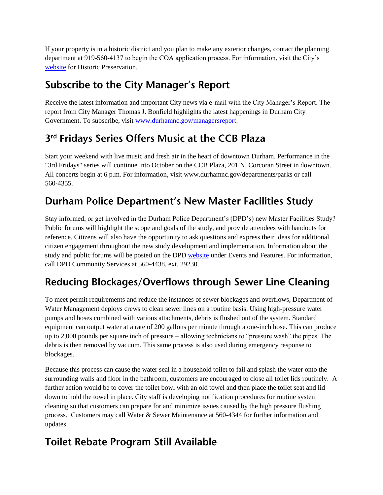If your property is in a historic district and you plan to make any exterior changes, contact the planning department at 919-560-4137 to begin the COA application process. For information, visit the City's [website](http://www.durhamnc.gov/departments/planning/historic_preservation.cfm) for Historic Preservation.

### **Subscribe to the City Manager's Report**

Receive the latest information and important City news via e-mail with the City Manager's Report. The report from City Manager Thomas J. Bonfield highlights the latest happenings in Durham City Government. To subscribe, visit [www.durhamnc.gov/managersreport.](http://www.durhamnc.gov/managersreport)

## 3rd Fridays Series Offers Music at the CCB Plaza

Start your weekend with live music and fresh air in the heart of downtown Durham. Performance in the "3rd Fridays" series will continue into October on the CCB Plaza, 201 N. Corcoran Street in downtown. All concerts begin at 6 p.m. For information, visit www.durhamnc.gov/departments/parks or call 560-4355.

## Durham Police Department's New Master Facilities Study

Stay informed, or get involved in the Durham Police Department's (DPD's) new Master Facilities Study? Public forums will highlight the scope and goals of the study, and provide attendees with handouts for reference. Citizens will also have the opportunity to ask questions and express their ideas for additional citizen engagement throughout the new study development and implementation. Information about the study and public forums will be posted on the DPD [website](http://www.durhampolice.com/) under Events and Features. For information, call DPD Community Services at 560-4438, ext. 29230.

## Reducing Blockages/Overflows through Sewer Line Cleaning

To meet permit requirements and reduce the instances of sewer blockages and overflows, Department of Water Management deploys crews to clean sewer lines on a routine basis. Using high-pressure water pumps and hoses combined with various attachments, debris is flushed out of the system. Standard equipment can output water at a rate of 200 gallons per minute through a one-inch hose. This can produce up to 2,000 pounds per square inch of pressure – allowing technicians to "pressure wash" the pipes. The debris is then removed by vacuum. This same process is also used during emergency response to blockages.

Because this process can cause the water seal in a household toilet to fail and splash the water onto the surrounding walls and floor in the bathroom, customers are encouraged to close all toilet lids routinely. A further action would be to cover the toilet bowl with an old towel and then place the toilet seat and lid down to hold the towel in place. City staff is developing notification procedures for routine system cleaning so that customers can prepare for and minimize issues caused by the high pressure flushing process. Customers may call Water & Sewer Maintenance at 560-4344 for further information and updates.

### **Toilet Rebate Program Still Available**